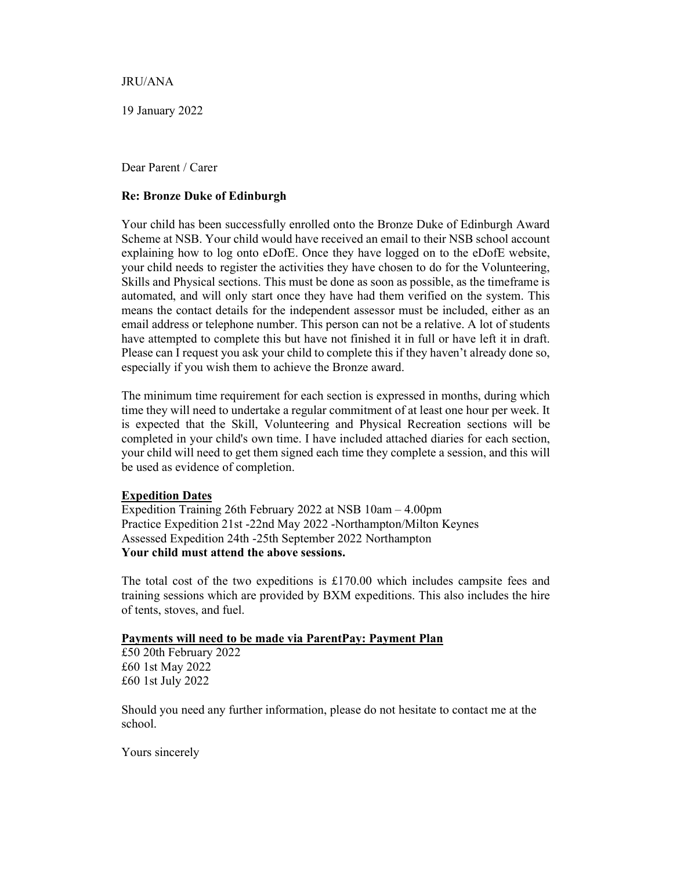JRU/ANA

19 January 2022

Dear Parent / Carer

## Re: Bronze Duke of Edinburgh

Your child has been successfully enrolled onto the Bronze Duke of Edinburgh Award Scheme at NSB. Your child would have received an email to their NSB school account explaining how to log onto eDofE. Once they have logged on to the eDofE website, your child needs to register the activities they have chosen to do for the Volunteering, Skills and Physical sections. This must be done as soon as possible, as the timeframe is automated, and will only start once they have had them verified on the system. This means the contact details for the independent assessor must be included, either as an email address or telephone number. This person can not be a relative. A lot of students have attempted to complete this but have not finished it in full or have left it in draft. Please can I request you ask your child to complete this if they haven't already done so, especially if you wish them to achieve the Bronze award.

The minimum time requirement for each section is expressed in months, during which time they will need to undertake a regular commitment of at least one hour per week. It is expected that the Skill, Volunteering and Physical Recreation sections will be completed in your child's own time. I have included attached diaries for each section, your child will need to get them signed each time they complete a session, and this will be used as evidence of completion.

## Expedition Dates

Expedition Training 26th February 2022 at NSB 10am – 4.00pm Practice Expedition 21st -22nd May 2022 -Northampton/Milton Keynes Assessed Expedition 24th -25th September 2022 Northampton Your child must attend the above sessions.

The total cost of the two expeditions is  $£170.00$  which includes campsite fees and training sessions which are provided by BXM expeditions. This also includes the hire of tents, stoves, and fuel.

## Payments will need to be made via ParentPay: Payment Plan

£50 20th February 2022 £60 1st May 2022 £60 1st July 2022

Should you need any further information, please do not hesitate to contact me at the school.

Yours sincerely